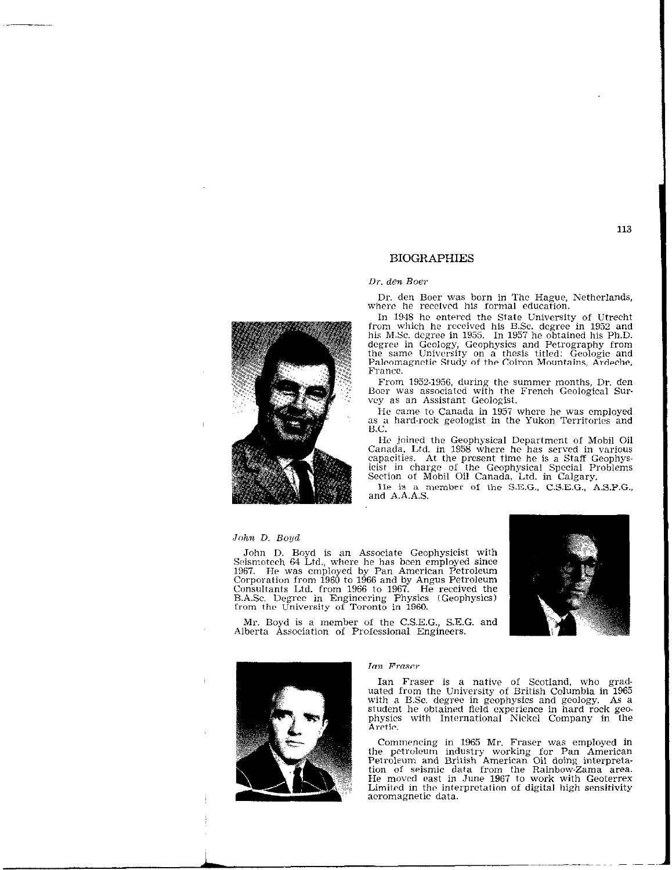# BIOGRAPHIES

Dr. den Boer

Dr. den Boer was born in The Hague, Netherland where he received his formal education.

In 1948 he entered the State University of Utrecht from which he received his B.Sc. degree in 1952 and<br>his M.Sc. degree in 1955. In 1957 he obtained his Ph.D. degree in Geology, Geophysics and Petrography from<br>the same University on a thesis titled: Geologic and Paleomagnetic Study of the Coiron Mountains, Ardeche, France.

From 1952.1956, during the summer months, Dr. den Boer was associated with the French Geological Sup vey as an Assistant Geologist.

He came to Canada in 1957 where he was employed as a hard-rock geologist in the Yukon Territories and B.C.

He joined the Geophysical Department of Mobil Oil Canada. Ltd. in 1958 where he has served in various capacities. At the present time he is a Staff Geophysicist in charge of the Geophysical Special Problems Section of Mobil Oil Canada, Ltd. in Calgary.

He is a member of the S.E.G., C.S.E.G., A.S.P.G., and A.A.A.S.



John D. Boyd is an Associate Geophysicist with Seismotech 64 Ltd., where he has been employed since 1967. He was employed by Pan American Petroleum Corporation from 1960 to 1966 and by Angus Petroleum<br>Consultants Ltd. from 1966 to 1967. He received the B.A.Sc. Degree in Engineering Physics (Geophysics)<br>from the University of Toronto in 1960.

Mr. Boyd is a member of the C.S.E.G., S.E.G. and Alberta Association of Professional Engineers.



# Ian Fraser

Ian Fraser is a native of Scotland, who graduated from the University of British Columbia in 1965 with a B.Sc. degree in geophysics and geology. As a student he obtained field experience in hard rock geophysics with International Nickel Company in the Arctic.

Commencing in 1965 Mr. Fraser was employed in the petroleum industry working for Pan America<br>Petroleum and British American Oil doing interpret tion of seismic data from the Rainbow-Zama area. He moved east in June 1967 to work with Geoterre Limited in the interpretation of digital high sensitivi aeromagnetic data.